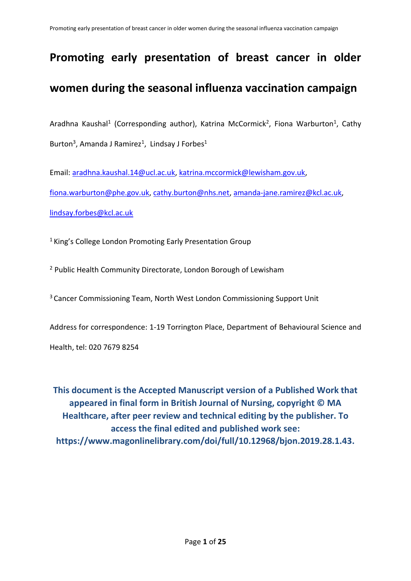# **Promoting early presentation of breast cancer in older women during the seasonal influenza vaccination campaign**

Aradhna Kaushal<sup>1</sup> (Corresponding author), Katrina McCormick<sup>2</sup>, Fiona Warburton<sup>1</sup>, Cathy Burton<sup>3</sup>, Amanda J Ramirez<sup>1</sup>, Lindsay J Forbes<sup>1</sup>

Email: [aradhna.kaushal.14@ucl.ac.uk,](mailto:aradhna.kaushal.14@ucl.ac.uk) [katrina.mccormick@lewisham.gov.uk,](mailto:katrina.mccormick@lewisham.gov.uk) [fiona.warburton@phe.gov.uk,](mailto:fiona.warburton@phe.gov.uk) [cathy.burton@nhs.net,](mailto:cathy.burton@nhs.net) [amanda-jane.ramirez@kcl.ac.uk,](mailto:amanda-jane.ramirez@kcl.ac.uk) [lindsay.forbes@kcl.ac.uk](mailto:lindsay.forbes@kcl.ac.uk)

<sup>1</sup> King's College London Promoting Early Presentation Group

<sup>2</sup> Public Health Community Directorate, London Borough of Lewisham

<sup>3</sup>Cancer Commissioning Team, North West London Commissioning Support Unit

Address for correspondence: 1-19 Torrington Place, Department of Behavioural Science and Health, tel: 020 7679 8254

**This document is the Accepted Manuscript version of a Published Work that appeared in final form in British Journal of Nursing, copyright © MA Healthcare, after peer review and technical editing by the publisher. To access the final edited and published work see: https://www.magonlinelibrary.com/doi/full/10.12968/bjon.2019.28.1.43.**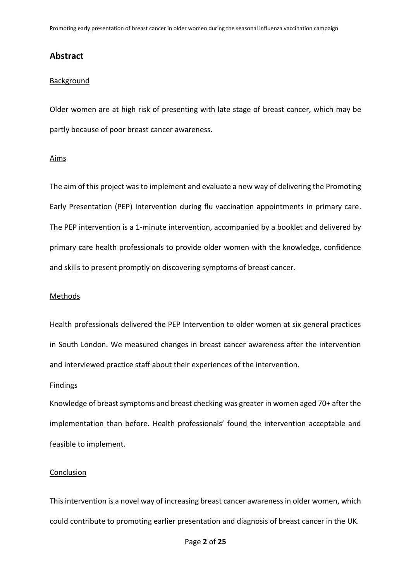# **Abstract**

# **Background**

Older women are at high risk of presenting with late stage of breast cancer, which may be partly because of poor breast cancer awareness.

#### Aims

The aim of this project was to implement and evaluate a new way of delivering the Promoting Early Presentation (PEP) Intervention during flu vaccination appointments in primary care. The PEP intervention is a 1-minute intervention, accompanied by a booklet and delivered by primary care health professionals to provide older women with the knowledge, confidence and skills to present promptly on discovering symptoms of breast cancer.

## **Methods**

Health professionals delivered the PEP Intervention to older women at six general practices in South London. We measured changes in breast cancer awareness after the intervention and interviewed practice staff about their experiences of the intervention.

#### Findings

Knowledge of breast symptoms and breast checking was greater in women aged 70+ after the implementation than before. Health professionals' found the intervention acceptable and feasible to implement.

#### Conclusion

This intervention is a novel way of increasing breast cancer awareness in older women, which could contribute to promoting earlier presentation and diagnosis of breast cancer in the UK.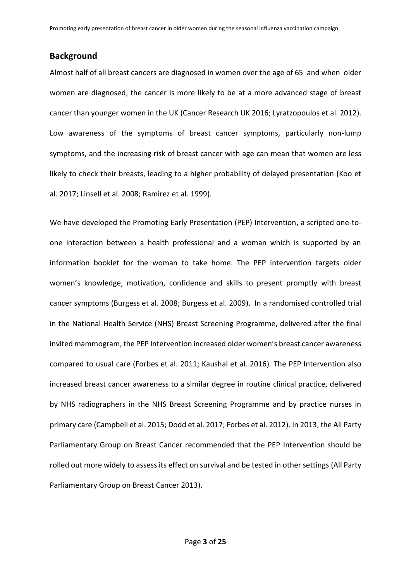# **Background**

Almost half of all breast cancers are diagnosed in women over the age of 65 and when older women are diagnosed, the cancer is more likely to be at a more advanced stage of breast cancer than younger women in the UK [\(Cancer Research UK 2016;](#page-18-0) [Lyratzopoulos et al. 2012\)](#page-19-0). Low awareness of the symptoms of breast cancer symptoms, particularly non-lump symptoms, and the increasing risk of breast cancer with age can mean that women are less likely to check their breasts, leading to a higher probability of delayed presentation [\(Koo et](#page-19-1)  [al. 2017;](#page-19-1) [Linsell et al. 2008;](#page-19-2) [Ramirez et al. 1999\)](#page-19-3).

We have developed the Promoting Early Presentation (PEP) Intervention, a scripted one-toone interaction between a health professional and a woman which is supported by an information booklet for the woman to take home. The PEP intervention targets older women's knowledge, motivation, confidence and skills to present promptly with breast cancer symptoms [\(Burgess et al. 2008;](#page-18-1) [Burgess et al. 2009\)](#page-18-2). In a randomised controlled trial in the National Health Service (NHS) Breast Screening Programme, delivered after the final invited mammogram, the PEP Intervention increased older women's breast cancer awareness compared to usual care [\(Forbes et al. 2011;](#page-18-3) [Kaushal et al. 2016\)](#page-19-4). The PEP Intervention also increased breast cancer awareness to a similar degree in routine clinical practice, delivered by NHS radiographers in the NHS Breast Screening Programme and by practice nurses in primary care [\(Campbell et al. 2015;](#page-18-4) [Dodd et al. 2017;](#page-18-5) [Forbes et al. 2012\)](#page-18-6). In 2013, the All Party Parliamentary Group on Breast Cancer recommended that the PEP Intervention should be rolled out more widely to assess its effect on survival and be tested in other settings [\(All Party](#page-18-7)  [Parliamentary Group on Breast Cancer 2013\)](#page-18-7).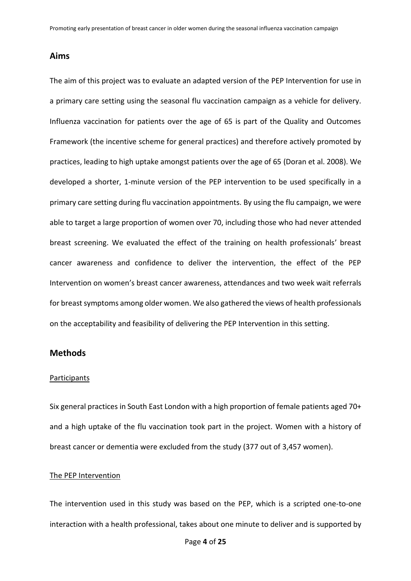# **Aims**

The aim of this project was to evaluate an adapted version of the PEP Intervention for use in a primary care setting using the seasonal flu vaccination campaign as a vehicle for delivery. Influenza vaccination for patients over the age of 65 is part of the Quality and Outcomes Framework (the incentive scheme for general practices) and therefore actively promoted by practices, leading to high uptake amongst patients over the age of 65 [\(Doran et al. 2008\)](#page-18-8). We developed a shorter, 1-minute version of the PEP intervention to be used specifically in a primary care setting during flu vaccination appointments. By using the flu campaign, we were able to target a large proportion of women over 70, including those who had never attended breast screening. We evaluated the effect of the training on health professionals' breast cancer awareness and confidence to deliver the intervention, the effect of the PEP Intervention on women's breast cancer awareness, attendances and two week wait referrals for breast symptoms among older women. We also gathered the views of health professionals on the acceptability and feasibility of delivering the PEP Intervention in this setting.

# **Methods**

#### **Participants**

Six general practices in South East London with a high proportion of female patients aged 70+ and a high uptake of the flu vaccination took part in the project. Women with a history of breast cancer or dementia were excluded from the study (377 out of 3,457 women).

# The PEP Intervention

The intervention used in this study was based on the PEP, which is a scripted one-to-one interaction with a health professional, takes about one minute to deliver and is supported by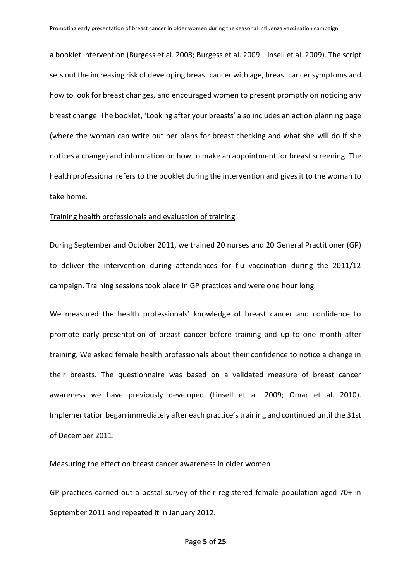a booklet Intervention [\(Burgess et al. 2008;](#page-18-1) [Burgess et al. 2009;](#page-18-2) [Linsell et al. 2009\)](#page-19-5). The script sets out the increasing risk of developing breast cancer with age, breast cancer symptoms and how to look for breast changes, and encouraged women to present promptly on noticing any breast change. The booklet, 'Looking after your breasts' also includes an action planning page (where the woman can write out her plans for breast checking and what she will do if she notices a change) and information on how to make an appointment for breast screening. The health professional refers to the booklet during the intervention and gives it to the woman to take home.

# Training health professionals and evaluation of training

During September and October 2011, we trained 20 nurses and 20 General Practitioner (GP) to deliver the intervention during attendances for flu vaccination during the 2011/12 campaign. Training sessions took place in GP practices and were one hour long.

We measured the health professionals' knowledge of breast cancer and confidence to promote early presentation of breast cancer before training and up to one month after training. We asked female health professionals about their confidence to notice a change in their breasts. The questionnaire was based on a validated measure of breast cancer awareness we have previously developed [\(Linsell et al. 2009;](#page-19-5) [Omar et al. 2010\)](#page-19-6). Implementation began immediately after each practice's training and continued until the 31st of December 2011.

# Measuring the effect on breast cancer awareness in older women

GP practices carried out a postal survey of their registered female population aged 70+ in September 2011 and repeated it in January 2012.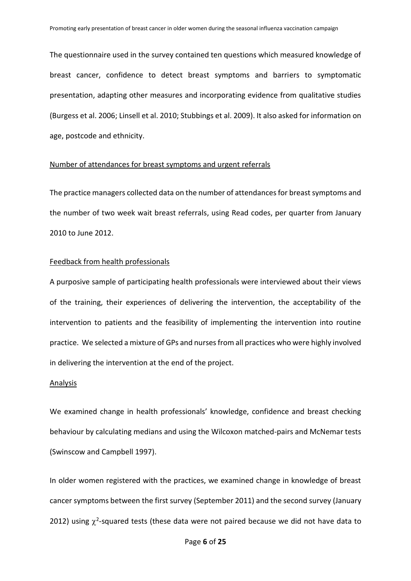The questionnaire used in the survey contained ten questions which measured knowledge of breast cancer, confidence to detect breast symptoms and barriers to symptomatic presentation, adapting other measures and incorporating evidence from qualitative studies [\(Burgess et al. 2006;](#page-18-9) [Linsell et al. 2010;](#page-19-7) [Stubbings et al. 2009\)](#page-19-8). It also asked for information on age, postcode and ethnicity.

## Number of attendances for breast symptoms and urgent referrals

The practice managers collected data on the number of attendances for breast symptoms and the number of two week wait breast referrals, using Read codes, per quarter from January 2010 to June 2012.

#### Feedback from health professionals

A purposive sample of participating health professionals were interviewed about their views of the training, their experiences of delivering the intervention, the acceptability of the intervention to patients and the feasibility of implementing the intervention into routine practice. We selected a mixture of GPs and nurses from all practices who were highly involved in delivering the intervention at the end of the project.

#### **Analysis**

We examined change in health professionals' knowledge, confidence and breast checking behaviour by calculating medians and using the Wilcoxon matched-pairs and McNemar tests [\(Swinscow and Campbell 1997\)](#page-19-9).

In older women registered with the practices, we examined change in knowledge of breast cancer symptoms between the first survey (September 2011) and the second survey (January 2012) using  $\chi^2$ -squared tests (these data were not paired because we did not have data to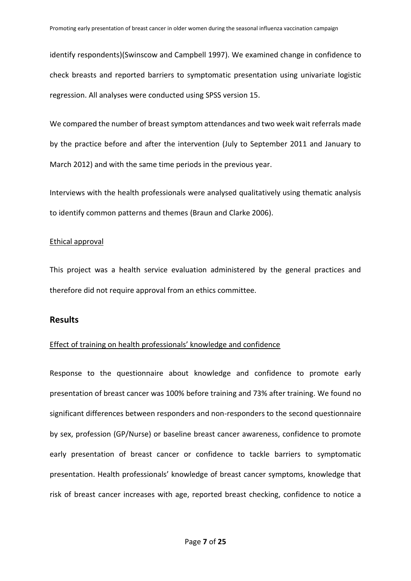identify respondents)[\(Swinscow and Campbell 1997\)](#page-19-9). We examined change in confidence to check breasts and reported barriers to symptomatic presentation using univariate logistic regression. All analyses were conducted using SPSS version 15.

We compared the number of breast symptom attendances and two week wait referrals made by the practice before and after the intervention (July to September 2011 and January to March 2012) and with the same time periods in the previous year.

Interviews with the health professionals were analysed qualitatively using thematic analysis to identify common patterns and themes [\(Braun and Clarke 2006\)](#page-18-10).

# Ethical approval

This project was a health service evaluation administered by the general practices and therefore did not require approval from an ethics committee.

## **Results**

# Effect of training on health professionals' knowledge and confidence

Response to the questionnaire about knowledge and confidence to promote early presentation of breast cancer was 100% before training and 73% after training. We found no significant differences between responders and non-responders to the second questionnaire by sex, profession (GP/Nurse) or baseline breast cancer awareness, confidence to promote early presentation of breast cancer or confidence to tackle barriers to symptomatic presentation. Health professionals' knowledge of breast cancer symptoms, knowledge that risk of breast cancer increases with age, reported breast checking, confidence to notice a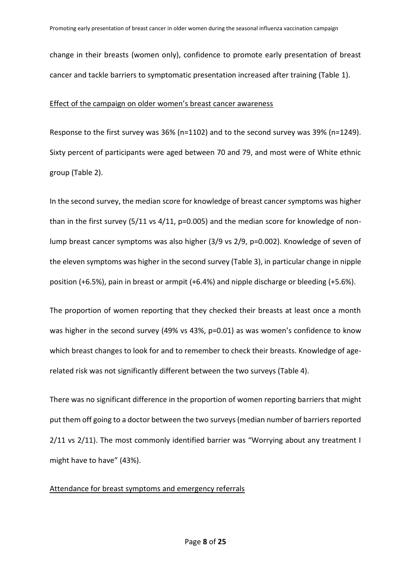change in their breasts (women only), confidence to promote early presentation of breast cancer and tackle barriers to symptomatic presentation increased after training (Table 1).

# Effect of the campaign on older women's breast cancer awareness

Response to the first survey was 36% (n=1102) and to the second survey was 39% (n=1249). Sixty percent of participants were aged between 70 and 79, and most were of White ethnic group (Table 2).

In the second survey, the median score for knowledge of breast cancer symptoms was higher than in the first survey (5/11 vs 4/11, p=0.005) and the median score for knowledge of nonlump breast cancer symptoms was also higher (3/9 vs 2/9, p=0.002). Knowledge of seven of the eleven symptoms was higher in the second survey (Table 3), in particular change in nipple position (+6.5%), pain in breast or armpit (+6.4%) and nipple discharge or bleeding (+5.6%).

The proportion of women reporting that they checked their breasts at least once a month was higher in the second survey (49% vs 43%, p=0.01) as was women's confidence to know which breast changes to look for and to remember to check their breasts. Knowledge of agerelated risk was not significantly different between the two surveys (Table 4).

There was no significant difference in the proportion of women reporting barriers that might put them off going to a doctor between the two surveys (median number of barriers reported 2/11 vs 2/11). The most commonly identified barrier was "Worrying about any treatment I might have to have" (43%).

## Attendance for breast symptoms and emergency referrals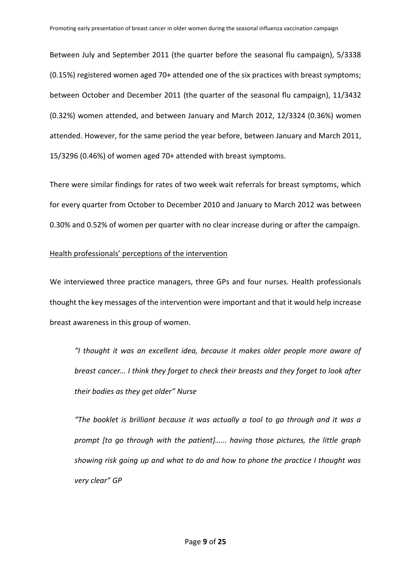Between July and September 2011 (the quarter before the seasonal flu campaign), 5/3338 (0.15%) registered women aged 70+ attended one of the six practices with breast symptoms; between October and December 2011 (the quarter of the seasonal flu campaign), 11/3432 (0.32%) women attended, and between January and March 2012, 12/3324 (0.36%) women attended. However, for the same period the year before, between January and March 2011, 15/3296 (0.46%) of women aged 70+ attended with breast symptoms.

There were similar findings for rates of two week wait referrals for breast symptoms, which for every quarter from October to December 2010 and January to March 2012 was between 0.30% and 0.52% of women per quarter with no clear increase during or after the campaign.

# Health professionals' perceptions of the intervention

We interviewed three practice managers, three GPs and four nurses. Health professionals thought the key messages of the intervention were important and that it would help increase breast awareness in this group of women.

*"I thought it was an excellent idea, because it makes older people more aware of breast cancer… I think they forget to check their breasts and they forget to look after their bodies as they get older" Nurse*

*"The booklet is brilliant because it was actually a tool to go through and it was a prompt [to go through with the patient]…… having those pictures, the little graph showing risk going up and what to do and how to phone the practice I thought was very clear" GP*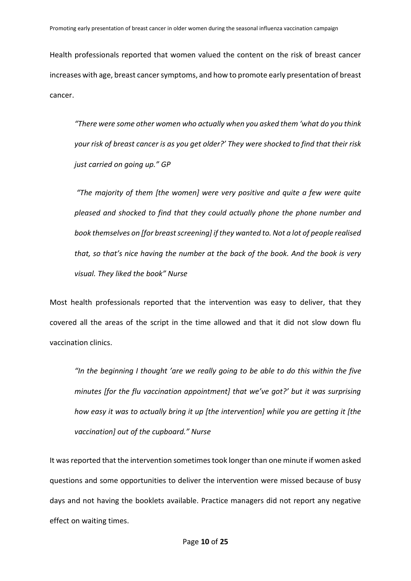Health professionals reported that women valued the content on the risk of breast cancer increases with age, breast cancer symptoms, and how to promote early presentation of breast cancer.

*"There were some other women who actually when you asked them 'what do you think your risk of breast cancer is as you get older?' They were shocked to find that their risk just carried on going up." GP* 

*"The majority of them [the women] were very positive and quite a few were quite pleased and shocked to find that they could actually phone the phone number and book themselves on [for breast screening] if they wanted to. Not a lot of people realised that, so that's nice having the number at the back of the book. And the book is very visual. They liked the book" Nurse*

Most health professionals reported that the intervention was easy to deliver, that they covered all the areas of the script in the time allowed and that it did not slow down flu vaccination clinics.

*"In the beginning I thought 'are we really going to be able to do this within the five minutes [for the flu vaccination appointment] that we've got?' but it was surprising how easy it was to actually bring it up [the intervention] while you are getting it [the vaccination] out of the cupboard." Nurse*

It was reported that the intervention sometimes took longer than one minute if women asked questions and some opportunities to deliver the intervention were missed because of busy days and not having the booklets available. Practice managers did not report any negative effect on waiting times.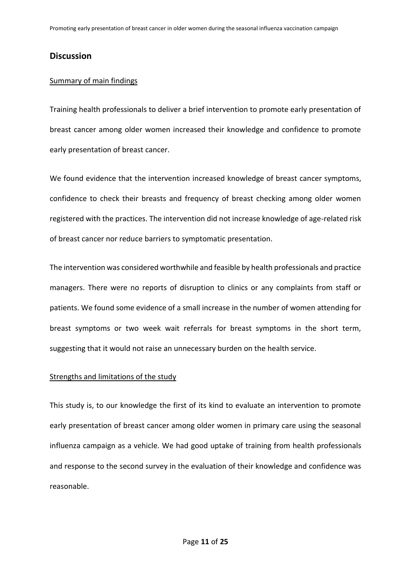# **Discussion**

# Summary of main findings

Training health professionals to deliver a brief intervention to promote early presentation of breast cancer among older women increased their knowledge and confidence to promote early presentation of breast cancer.

We found evidence that the intervention increased knowledge of breast cancer symptoms, confidence to check their breasts and frequency of breast checking among older women registered with the practices. The intervention did not increase knowledge of age-related risk of breast cancer nor reduce barriers to symptomatic presentation.

The intervention was considered worthwhile and feasible by health professionals and practice managers. There were no reports of disruption to clinics or any complaints from staff or patients. We found some evidence of a small increase in the number of women attending for breast symptoms or two week wait referrals for breast symptoms in the short term, suggesting that it would not raise an unnecessary burden on the health service.

# Strengths and limitations of the study

This study is, to our knowledge the first of its kind to evaluate an intervention to promote early presentation of breast cancer among older women in primary care using the seasonal influenza campaign as a vehicle. We had good uptake of training from health professionals and response to the second survey in the evaluation of their knowledge and confidence was reasonable.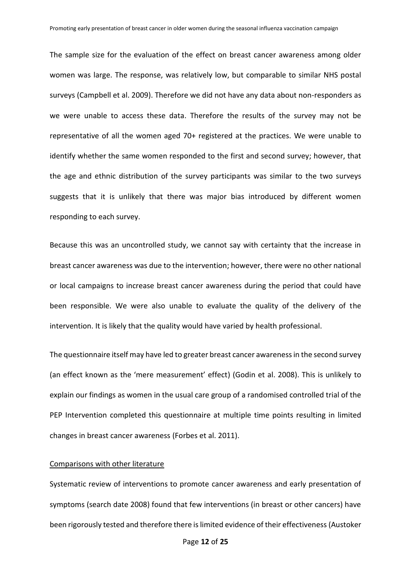The sample size for the evaluation of the effect on breast cancer awareness among older women was large. The response, was relatively low, but comparable to similar NHS postal surveys [\(Campbell et al. 2009\)](#page-18-11). Therefore we did not have any data about non-responders as we were unable to access these data. Therefore the results of the survey may not be representative of all the women aged 70+ registered at the practices. We were unable to identify whether the same women responded to the first and second survey; however, that the age and ethnic distribution of the survey participants was similar to the two surveys suggests that it is unlikely that there was major bias introduced by different women responding to each survey.

Because this was an uncontrolled study, we cannot say with certainty that the increase in breast cancer awareness was due to the intervention; however, there were no other national or local campaigns to increase breast cancer awareness during the period that could have been responsible. We were also unable to evaluate the quality of the delivery of the intervention. It is likely that the quality would have varied by health professional.

The questionnaire itself may have led to greater breast cancer awareness in the second survey (an effect known as the 'mere measurement' effect) [\(Godin et al. 2008\)](#page-18-12). This is unlikely to explain our findings as women in the usual care group of a randomised controlled trial of the PEP Intervention completed this questionnaire at multiple time points resulting in limited changes in breast cancer awareness [\(Forbes et al. 2011\)](#page-18-3).

#### Comparisons with other literature

Systematic review of interventions to promote cancer awareness and early presentation of symptoms (search date 2008) found that few interventions (in breast or other cancers) have been rigorously tested and therefore there is limited evidence of their effectiveness [\(Austoker](#page-18-13)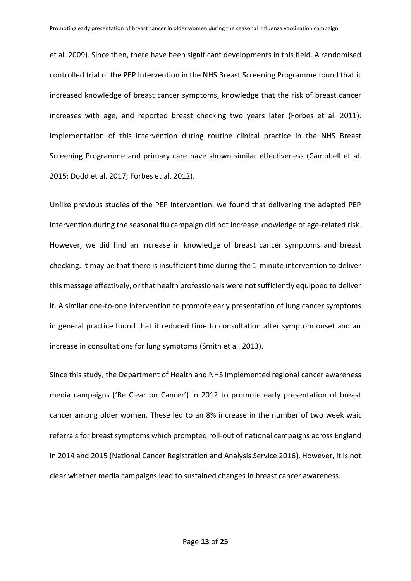[et al. 2009\)](#page-18-13). Since then, there have been significant developments in this field. A randomised controlled trial of the PEP Intervention in the NHS Breast Screening Programme found that it increased knowledge of breast cancer symptoms, knowledge that the risk of breast cancer increases with age, and reported breast checking two years later [\(Forbes et al. 2011\)](#page-18-3). Implementation of this intervention during routine clinical practice in the NHS Breast Screening Programme and primary care have shown similar effectiveness [\(Campbell et al.](#page-18-4)  [2015;](#page-18-4) [Dodd et al. 2017;](#page-18-5) [Forbes et al. 2012\)](#page-18-6).

Unlike previous studies of the PEP Intervention, we found that delivering the adapted PEP Intervention during the seasonal flu campaign did not increase knowledge of age-related risk. However, we did find an increase in knowledge of breast cancer symptoms and breast checking. It may be that there is insufficient time during the 1-minute intervention to deliver this message effectively, or that health professionals were not sufficiently equipped to deliver it. A similar one-to-one intervention to promote early presentation of lung cancer symptoms in general practice found that it reduced time to consultation after symptom onset and an increase in consultations for lung symptoms [\(Smith et al. 2013\)](#page-19-10).

Since this study, the Department of Health and NHS implemented regional cancer awareness media campaigns ('Be Clear on Cancer') in 2012 to promote early presentation of breast cancer among older women. These led to an 8% increase in the number of two week wait referrals for breast symptoms which prompted roll-out of national campaigns across England in 2014 and 2015 [\(National Cancer Registration and Analysis Service 2016\)](#page-19-11). However, it is not clear whether media campaigns lead to sustained changes in breast cancer awareness.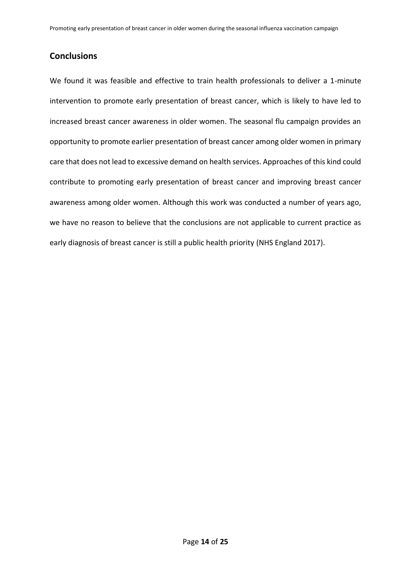# **Conclusions**

We found it was feasible and effective to train health professionals to deliver a 1-minute intervention to promote early presentation of breast cancer, which is likely to have led to increased breast cancer awareness in older women. The seasonal flu campaign provides an opportunity to promote earlier presentation of breast cancer among older women in primary care that does not lead to excessive demand on health services. Approaches of this kind could contribute to promoting early presentation of breast cancer and improving breast cancer awareness among older women. Although this work was conducted a number of years ago, we have no reason to believe that the conclusions are not applicable to current practice as early diagnosis of breast cancer is still a public health priority [\(NHS England 2017\)](#page-19-12).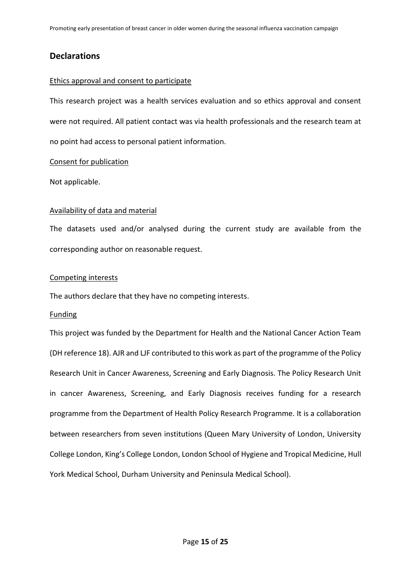# **Declarations**

# Ethics approval and consent to participate

This research project was a health services evaluation and so ethics approval and consent were not required. All patient contact was via health professionals and the research team at no point had access to personal patient information.

# Consent for publication

Not applicable.

# Availability of data and material

The datasets used and/or analysed during the current study are available from the corresponding author on reasonable request.

# Competing interests

The authors declare that they have no competing interests.

# Funding

This project was funded by the Department for Health and the National Cancer Action Team (DH reference 18). AJR and LJF contributed to this work as part of the programme of the Policy Research Unit in Cancer Awareness, Screening and Early Diagnosis. The Policy Research Unit in cancer Awareness, Screening, and Early Diagnosis receives funding for a research programme from the Department of Health Policy Research Programme. It is a collaboration between researchers from seven institutions (Queen Mary University of London, University College London, King's College London, London School of Hygiene and Tropical Medicine, Hull York Medical School, Durham University and Peninsula Medical School).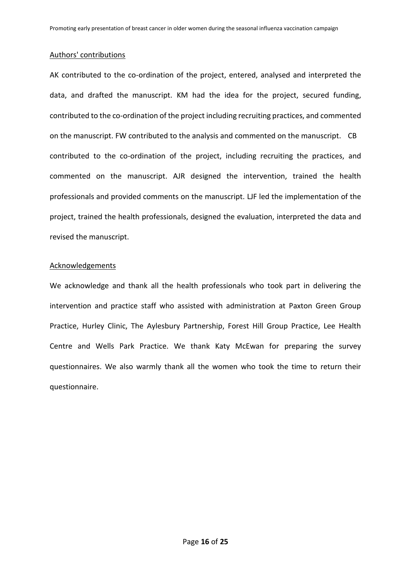## Authors' contributions

AK contributed to the co-ordination of the project, entered, analysed and interpreted the data, and drafted the manuscript. KM had the idea for the project, secured funding, contributed to the co-ordination of the project including recruiting practices, and commented on the manuscript. FW contributed to the analysis and commented on the manuscript. CB contributed to the co-ordination of the project, including recruiting the practices, and commented on the manuscript. AJR designed the intervention, trained the health professionals and provided comments on the manuscript. LJF led the implementation of the project, trained the health professionals, designed the evaluation, interpreted the data and revised the manuscript.

#### Acknowledgements

We acknowledge and thank all the health professionals who took part in delivering the intervention and practice staff who assisted with administration at Paxton Green Group Practice, Hurley Clinic, The Aylesbury Partnership, Forest Hill Group Practice, Lee Health Centre and Wells Park Practice. We thank Katy McEwan for preparing the survey questionnaires. We also warmly thank all the women who took the time to return their questionnaire.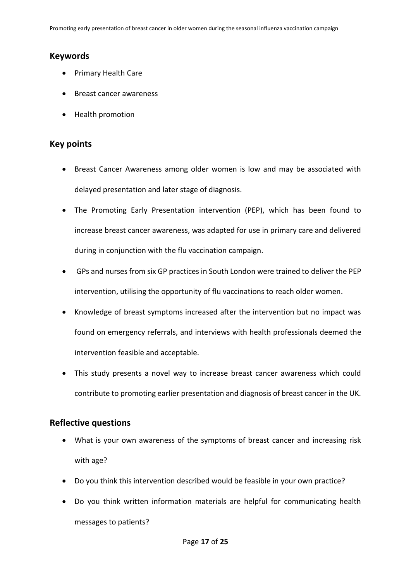# **Keywords**

- Primary Health Care
- Breast cancer awareness
- Health promotion

# **Key points**

- Breast Cancer Awareness among older women is low and may be associated with delayed presentation and later stage of diagnosis.
- The Promoting Early Presentation intervention (PEP), which has been found to increase breast cancer awareness, was adapted for use in primary care and delivered during in conjunction with the flu vaccination campaign.
- GPs and nurses from six GP practices in South London were trained to deliver the PEP intervention, utilising the opportunity of flu vaccinations to reach older women.
- Knowledge of breast symptoms increased after the intervention but no impact was found on emergency referrals, and interviews with health professionals deemed the intervention feasible and acceptable.
- This study presents a novel way to increase breast cancer awareness which could contribute to promoting earlier presentation and diagnosis of breast cancer in the UK.

# **Reflective questions**

- What is your own awareness of the symptoms of breast cancer and increasing risk with age?
- Do you think this intervention described would be feasible in your own practice?
- Do you think written information materials are helpful for communicating health messages to patients?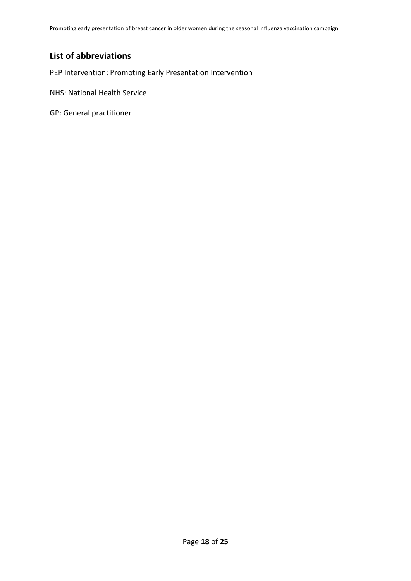Promoting early presentation of breast cancer in older women during the seasonal influenza vaccination campaign

# **List of abbreviations**

PEP Intervention: Promoting Early Presentation Intervention

NHS: National Health Service

GP: General practitioner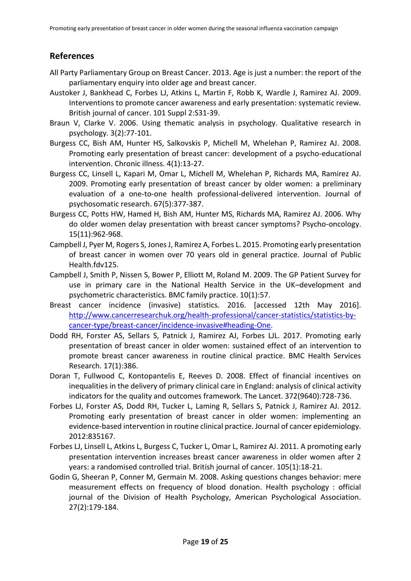# **References**

- <span id="page-18-7"></span>All Party Parliamentary Group on Breast Cancer. 2013. Age is just a number: the report of the parliamentary enquiry into older age and breast cancer.
- <span id="page-18-13"></span>Austoker J, Bankhead C, Forbes LJ, Atkins L, Martin F, Robb K, Wardle J, Ramirez AJ. 2009. Interventions to promote cancer awareness and early presentation: systematic review. British journal of cancer. 101 Suppl 2:S31-39.
- <span id="page-18-10"></span>Braun V, Clarke V. 2006. Using thematic analysis in psychology. Qualitative research in psychology. 3(2):77-101.
- <span id="page-18-1"></span>Burgess CC, Bish AM, Hunter HS, Salkovskis P, Michell M, Whelehan P, Ramirez AJ. 2008. Promoting early presentation of breast cancer: development of a psycho-educational intervention. Chronic illness. 4(1):13-27.
- <span id="page-18-2"></span>Burgess CC, Linsell L, Kapari M, Omar L, Michell M, Whelehan P, Richards MA, Ramirez AJ. 2009. Promoting early presentation of breast cancer by older women: a preliminary evaluation of a one-to-one health professional-delivered intervention. Journal of psychosomatic research. 67(5):377-387.
- <span id="page-18-9"></span>Burgess CC, Potts HW, Hamed H, Bish AM, Hunter MS, Richards MA, Ramirez AJ. 2006. Why do older women delay presentation with breast cancer symptoms? Psycho-oncology. 15(11):962-968.
- <span id="page-18-4"></span>Campbell J, Pyer M, Rogers S, Jones J, Ramirez A, Forbes L. 2015. Promoting early presentation of breast cancer in women over 70 years old in general practice. Journal of Public Health.fdv125.
- <span id="page-18-11"></span>Campbell J, Smith P, Nissen S, Bower P, Elliott M, Roland M. 2009. The GP Patient Survey for use in primary care in the National Health Service in the UK–development and psychometric characteristics. BMC family practice. 10(1):57.
- <span id="page-18-0"></span>Breast cancer incidence (invasive) statistics. 2016. [accessed 12th May 2016]. [http://www.cancerresearchuk.org/health-professional/cancer-statistics/statistics-by](http://www.cancerresearchuk.org/health-professional/cancer-statistics/statistics-by-cancer-type/breast-cancer/incidence-invasive#heading-One)[cancer-type/breast-cancer/incidence-invasive#heading-One.](http://www.cancerresearchuk.org/health-professional/cancer-statistics/statistics-by-cancer-type/breast-cancer/incidence-invasive#heading-One)
- <span id="page-18-5"></span>Dodd RH, Forster AS, Sellars S, Patnick J, Ramirez AJ, Forbes LJL. 2017. Promoting early presentation of breast cancer in older women: sustained effect of an intervention to promote breast cancer awareness in routine clinical practice. BMC Health Services Research. 17(1):386.
- <span id="page-18-8"></span>Doran T, Fullwood C, Kontopantelis E, Reeves D. 2008. Effect of financial incentives on inequalities in the delivery of primary clinical care in England: analysis of clinical activity indicators for the quality and outcomes framework. The Lancet. 372(9640):728-736.
- <span id="page-18-6"></span>Forbes LJ, Forster AS, Dodd RH, Tucker L, Laming R, Sellars S, Patnick J, Ramirez AJ. 2012. Promoting early presentation of breast cancer in older women: implementing an evidence-based intervention in routine clinical practice. Journal of cancer epidemiology. 2012:835167.
- <span id="page-18-3"></span>Forbes LJ, Linsell L, Atkins L, Burgess C, Tucker L, Omar L, Ramirez AJ. 2011. A promoting early presentation intervention increases breast cancer awareness in older women after 2 years: a randomised controlled trial. British journal of cancer. 105(1):18-21.
- <span id="page-18-12"></span>Godin G, Sheeran P, Conner M, Germain M. 2008. Asking questions changes behavior: mere measurement effects on frequency of blood donation. Health psychology : official journal of the Division of Health Psychology, American Psychological Association. 27(2):179-184.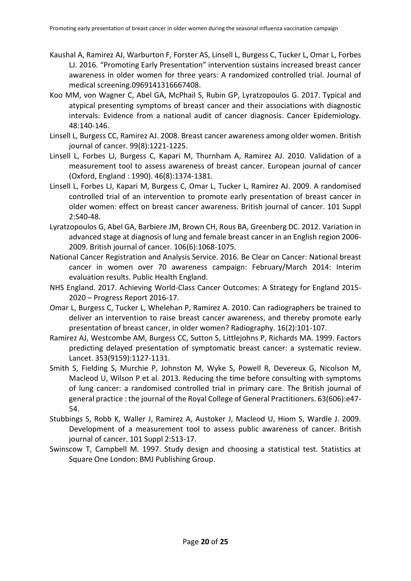- <span id="page-19-4"></span>Kaushal A, Ramirez AJ, Warburton F, Forster AS, Linsell L, Burgess C, Tucker L, Omar L, Forbes LJ. 2016. "Promoting Early Presentation" intervention sustains increased breast cancer awareness in older women for three years: A randomized controlled trial. Journal of medical screening.0969141316667408.
- <span id="page-19-1"></span>Koo MM, von Wagner C, Abel GA, McPhail S, Rubin GP, Lyratzopoulos G. 2017. Typical and atypical presenting symptoms of breast cancer and their associations with diagnostic intervals: Evidence from a national audit of cancer diagnosis. Cancer Epidemiology. 48:140-146.
- <span id="page-19-2"></span>Linsell L, Burgess CC, Ramirez AJ. 2008. Breast cancer awareness among older women. British journal of cancer. 99(8):1221-1225.
- <span id="page-19-7"></span>Linsell L, Forbes LJ, Burgess C, Kapari M, Thurnham A, Ramirez AJ. 2010. Validation of a measurement tool to assess awareness of breast cancer. European journal of cancer (Oxford, England : 1990). 46(8):1374-1381.
- <span id="page-19-5"></span>Linsell L, Forbes LJ, Kapari M, Burgess C, Omar L, Tucker L, Ramirez AJ. 2009. A randomised controlled trial of an intervention to promote early presentation of breast cancer in older women: effect on breast cancer awareness. British journal of cancer. 101 Suppl 2:S40-48.
- <span id="page-19-0"></span>Lyratzopoulos G, Abel GA, Barbiere JM, Brown CH, Rous BA, Greenberg DC. 2012. Variation in advanced stage at diagnosis of lung and female breast cancer in an English region 2006- 2009. British journal of cancer. 106(6):1068-1075.
- <span id="page-19-11"></span>National Cancer Registration and Analysis Service. 2016. Be Clear on Cancer: National breast cancer in women over 70 awareness campaign: February/March 2014: Interim evaluation results. Public Health England.
- <span id="page-19-12"></span>NHS England. 2017. Achieving World-Class Cancer Outcomes: A Strategy for England 2015- 2020 – Progress Report 2016-17.
- <span id="page-19-6"></span>Omar L, Burgess C, Tucker L, Whelehan P, Ramirez A. 2010. Can radiographers be trained to deliver an intervention to raise breast cancer awareness, and thereby promote early presentation of breast cancer, in older women? Radiography. 16(2):101-107.
- <span id="page-19-3"></span>Ramirez AJ, Westcombe AM, Burgess CC, Sutton S, Littlejohns P, Richards MA. 1999. Factors predicting delayed presentation of symptomatic breast cancer: a systematic review. Lancet. 353(9159):1127-1131.
- <span id="page-19-10"></span>Smith S, Fielding S, Murchie P, Johnston M, Wyke S, Powell R, Devereux G, Nicolson M, Macleod U, Wilson P et al. 2013. Reducing the time before consulting with symptoms of lung cancer: a randomised controlled trial in primary care. The British journal of general practice : the journal of the Royal College of General Practitioners. 63(606):e47- 54.
- <span id="page-19-8"></span>Stubbings S, Robb K, Waller J, Ramirez A, Austoker J, Macleod U, Hiom S, Wardle J. 2009. Development of a measurement tool to assess public awareness of cancer. British journal of cancer. 101 Suppl 2:S13-17.
- <span id="page-19-9"></span>Swinscow T, Campbell M. 1997. Study design and choosing a statistical test. Statistics at Square One London: BMJ Publishing Group.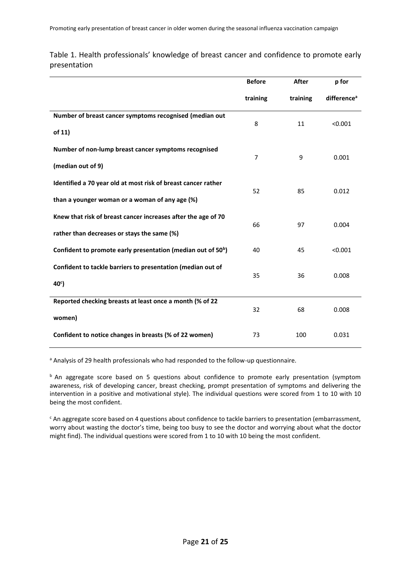|                                                                          | <b>Before</b>  | After    | p for                   |  |
|--------------------------------------------------------------------------|----------------|----------|-------------------------|--|
|                                                                          | training       | training | difference <sup>a</sup> |  |
| Number of breast cancer symptoms recognised (median out                  |                |          |                         |  |
| of 11)                                                                   | 8              | 11       | < 0.001                 |  |
| Number of non-lump breast cancer symptoms recognised                     | $\overline{7}$ | 9        | 0.001                   |  |
| (median out of 9)                                                        |                |          |                         |  |
| Identified a 70 year old at most risk of breast cancer rather            | 52             |          | 0.012                   |  |
| than a younger woman or a woman of any age (%)                           |                | 85       |                         |  |
| Knew that risk of breast cancer increases after the age of 70            |                |          |                         |  |
| rather than decreases or stays the same (%)                              | 66             | 97       | 0.004                   |  |
| Confident to promote early presentation (median out of 50 <sup>b</sup> ) | 40             | 45       | < 0.001                 |  |
| Confident to tackle barriers to presentation (median out of              |                |          |                         |  |
| 40 <sup>c</sup>                                                          | 35             | 36       | 0.008                   |  |
| Reported checking breasts at least once a month (% of 22                 |                |          |                         |  |
| women)                                                                   | 32             | 68       | 0.008                   |  |
| Confident to notice changes in breasts (% of 22 women)                   | 73             | 100      | 0.031                   |  |

Table 1. Health professionals' knowledge of breast cancer and confidence to promote early presentation

a Analysis of 29 health professionals who had responded to the follow-up questionnaire.

 $<sup>b</sup>$  An aggregate score based on 5 questions about confidence to promote early presentation (symptom</sup> awareness, risk of developing cancer, breast checking, prompt presentation of symptoms and delivering the intervention in a positive and motivational style). The individual questions were scored from 1 to 10 with 10 being the most confident.

<sup>c</sup> An aggregate score based on 4 questions about confidence to tackle barriers to presentation (embarrassment, worry about wasting the doctor's time, being too busy to see the doctor and worrying about what the doctor might find). The individual questions were scored from 1 to 10 with 10 being the most confident.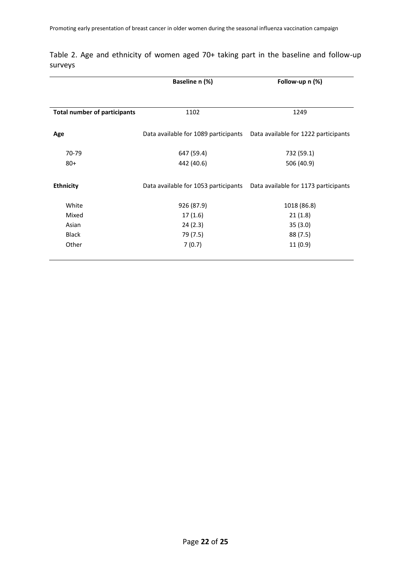|                                     | Baseline n (%)                       | Follow-up n (%)                      |  |  |
|-------------------------------------|--------------------------------------|--------------------------------------|--|--|
|                                     |                                      |                                      |  |  |
| <b>Total number of participants</b> | 1102                                 | 1249                                 |  |  |
| Age                                 | Data available for 1089 participants | Data available for 1222 participants |  |  |
| 70-79                               | 647 (59.4)                           | 732 (59.1)                           |  |  |
| $80+$                               | 442 (40.6)                           | 506 (40.9)                           |  |  |
| <b>Ethnicity</b>                    | Data available for 1053 participants | Data available for 1173 participants |  |  |
| White                               | 926 (87.9)                           | 1018 (86.8)                          |  |  |
| Mixed                               | 17(1.6)                              | 21(1.8)                              |  |  |
| Asian                               | 24(2.3)                              | 35(3.0)                              |  |  |
| <b>Black</b>                        | 79 (7.5)                             | 88 (7.5)                             |  |  |
| Other                               | 7(0.7)                               | 11(0.9)                              |  |  |
|                                     |                                      |                                      |  |  |

Table 2. Age and ethnicity of women aged 70+ taking part in the baseline and follow-up surveys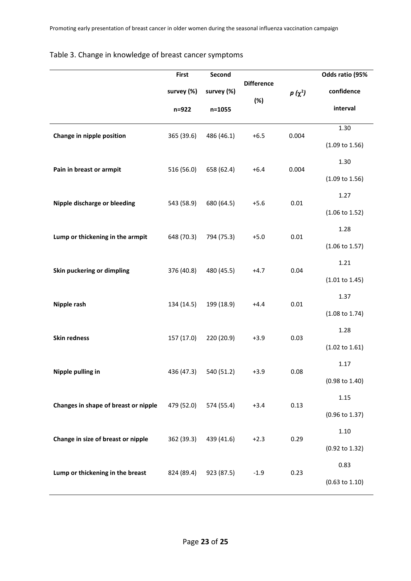|                                      | <b>First</b> | Second     |                   |             | Odds ratio (95%           |
|--------------------------------------|--------------|------------|-------------------|-------------|---------------------------|
|                                      | survey (%)   | survey (%) | <b>Difference</b> | $p(\chi^2)$ | confidence                |
|                                      | n=922        | n=1055     | (%)               |             | interval                  |
| Change in nipple position            | 365 (39.6)   | 486 (46.1) | $+6.5$            | 0.004       | 1.30                      |
|                                      |              |            |                   |             | $(1.09 \text{ to } 1.56)$ |
| Pain in breast or armpit             | 516 (56.0)   | 658 (62.4) | $+6.4$            | 0.004       | 1.30                      |
|                                      |              |            |                   |             | $(1.09 \text{ to } 1.56)$ |
| Nipple discharge or bleeding         | 543 (58.9)   | 680 (64.5) | $+5.6$            | 0.01        | 1.27                      |
|                                      |              |            |                   |             | $(1.06 \text{ to } 1.52)$ |
| Lump or thickening in the armpit     | 648 (70.3)   | 794 (75.3) | $+5.0$            | 0.01        | 1.28                      |
|                                      |              |            |                   |             | $(1.06 \text{ to } 1.57)$ |
| Skin puckering or dimpling           | 376 (40.8)   | 480 (45.5) | $+4.7$            | 0.04        | 1.21                      |
|                                      |              |            |                   |             | (1.01 to 1.45)            |
| Nipple rash                          | 134 (14.5)   | 199 (18.9) | $+4.4$            | 0.01        | 1.37                      |
|                                      |              |            |                   |             | $(1.08 \text{ to } 1.74)$ |
| <b>Skin redness</b>                  | 157 (17.0)   | 220 (20.9) | $+3.9$            | 0.03        | 1.28                      |
|                                      |              |            |                   |             | $(1.02 \text{ to } 1.61)$ |
| Nipple pulling in                    | 436 (47.3)   | 540 (51.2) | $+3.9$            | 0.08        | 1.17                      |
|                                      |              |            |                   |             | $(0.98 \text{ to } 1.40)$ |
| Changes in shape of breast or nipple | 479 (52.0)   | 574 (55.4) | $+3.4$            | 0.13        | 1.15                      |
|                                      |              |            |                   |             | (0.96 to 1.37)            |
| Change in size of breast or nipple   | 362 (39.3)   | 439 (41.6) | $+2.3$            | 0.29        | 1.10                      |
|                                      |              |            |                   |             | (0.92 to 1.32)            |
| Lump or thickening in the breast     | 824 (89.4)   | 923 (87.5) | $-1.9$            | 0.23        | 0.83                      |
|                                      |              |            |                   |             | $(0.63 \text{ to } 1.10)$ |

# Table 3. Change in knowledge of breast cancer symptoms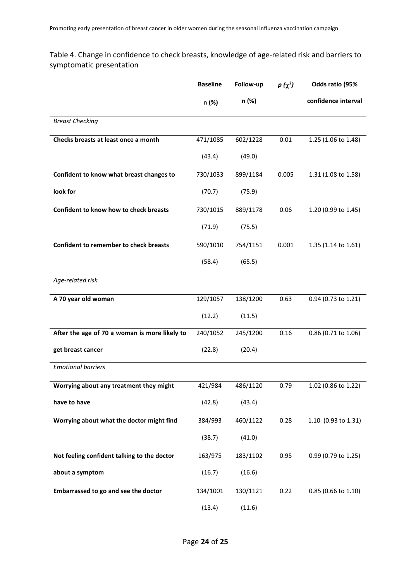Table 4. Change in confidence to check breasts, knowledge of age-related risk and barriers to symptomatic presentation

|                                               | <b>Baseline</b> | Follow-up | $p(\chi^2)$ | Odds ratio (95%     |
|-----------------------------------------------|-----------------|-----------|-------------|---------------------|
|                                               | n (%)           | n (%)     |             | confidence interval |
| <b>Breast Checking</b>                        |                 |           |             |                     |
| Checks breasts at least once a month          | 471/1085        | 602/1228  | 0.01        | 1.25 (1.06 to 1.48) |
|                                               | (43.4)          | (49.0)    |             |                     |
| Confident to know what breast changes to      | 730/1033        | 899/1184  | 0.005       | 1.31 (1.08 to 1.58) |
| look for                                      | (70.7)          | (75.9)    |             |                     |
| Confident to know how to check breasts        | 730/1015        | 889/1178  | 0.06        | 1.20 (0.99 to 1.45) |
|                                               | (71.9)          | (75.5)    |             |                     |
| <b>Confident to remember to check breasts</b> | 590/1010        | 754/1151  | 0.001       | 1.35 (1.14 to 1.61) |
|                                               | (58.4)          | (65.5)    |             |                     |
| Age-related risk                              |                 |           |             |                     |
| A 70 year old woman                           | 129/1057        | 138/1200  | 0.63        | 0.94 (0.73 to 1.21) |
|                                               | (12.2)          | (11.5)    |             |                     |
| After the age of 70 a woman is more likely to | 240/1052        | 245/1200  | 0.16        | 0.86 (0.71 to 1.06) |
| get breast cancer                             | (22.8)          | (20.4)    |             |                     |
| <b>Emotional barriers</b>                     |                 |           |             |                     |
| Worrying about any treatment they might       | 421/984         | 486/1120  | 0.79        | 1.02 (0.86 to 1.22) |
| have to have                                  | (42.8)          | (43.4)    |             |                     |
| Worrying about what the doctor might find     | 384/993         | 460/1122  | 0.28        | 1.10 (0.93 to 1.31) |
|                                               | (38.7)          | (41.0)    |             |                     |
| Not feeling confident talking to the doctor   | 163/975         | 183/1102  | 0.95        | 0.99 (0.79 to 1.25) |
| about a symptom                               | (16.7)          | (16.6)    |             |                     |
| Embarrassed to go and see the doctor          | 134/1001        | 130/1121  | 0.22        | 0.85 (0.66 to 1.10) |
|                                               | (13.4)          | (11.6)    |             |                     |